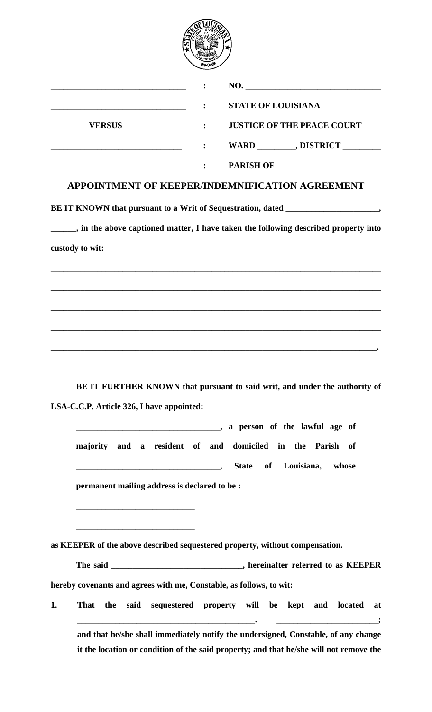

|               | NO.                                 |
|---------------|-------------------------------------|
| <b>VERSUS</b> | <b>STATE OF LOUISIANA</b>           |
|               | <b>JUSTICE OF THE PEACE COURT</b>   |
|               | WARD __________, DISTRICT _________ |
|               | <b>PARISH OF</b>                    |

## **APPOINTMENT OF KEEPER/INDEMNIFICATION AGREEMENT**

BE IT KNOWN that pursuant to a Writ of Sequestration, dated

**\_\_\_\_\_\_, in the above captioned matter, I have taken the following described property into custody to wit:** 

**\_\_\_\_\_\_\_\_\_\_\_\_\_\_\_\_\_\_\_\_\_\_\_\_\_\_\_\_\_\_\_\_\_\_\_\_\_\_\_\_\_\_\_\_\_\_\_\_\_\_\_\_\_\_\_\_\_\_\_\_\_\_\_\_\_\_\_\_\_\_\_\_\_\_\_\_\_\_**

**\_\_\_\_\_\_\_\_\_\_\_\_\_\_\_\_\_\_\_\_\_\_\_\_\_\_\_\_\_\_\_\_\_\_\_\_\_\_\_\_\_\_\_\_\_\_\_\_\_\_\_\_\_\_\_\_\_\_\_\_\_\_\_\_\_\_\_\_\_\_\_\_\_\_\_\_\_\_**

**\_\_\_\_\_\_\_\_\_\_\_\_\_\_\_\_\_\_\_\_\_\_\_\_\_\_\_\_\_\_\_\_\_\_\_\_\_\_\_\_\_\_\_\_\_\_\_\_\_\_\_\_\_\_\_\_\_\_\_\_\_\_\_\_\_\_\_\_\_\_\_\_\_\_\_\_\_\_**

**\_\_\_\_\_\_\_\_\_\_\_\_\_\_\_\_\_\_\_\_\_\_\_\_\_\_\_\_\_\_\_\_\_\_\_\_\_\_\_\_\_\_\_\_\_\_\_\_\_\_\_\_\_\_\_\_\_\_\_\_\_\_\_\_\_\_\_\_\_\_\_\_\_\_\_\_\_\_**

**\_\_\_\_\_\_\_\_\_\_\_\_\_\_\_\_\_\_\_\_\_\_\_\_\_\_\_\_\_\_\_\_\_\_\_\_\_\_\_\_\_\_\_\_\_\_\_\_\_\_\_\_\_\_\_\_\_\_\_\_\_\_\_\_\_\_\_\_\_\_\_\_\_\_\_\_\_.** 

**BE IT FURTHER KNOWN that pursuant to said writ, and under the authority of LSA-C.C.P. Article 326, I have appointed:** 

**\_\_\_\_\_\_\_\_\_\_\_\_\_\_\_\_\_\_\_\_\_\_\_\_\_\_\_\_\_\_\_\_\_\_, a person of the lawful age of majority and a resident of and domiciled in the Parish of \_\_\_\_\_\_\_\_\_\_\_\_\_\_\_\_\_\_\_\_\_\_\_\_\_\_\_\_\_\_\_\_\_\_, State of Louisiana, whose permanent mailing address is declared to be :** 

**as KEEPER of the above described sequestered property, without compensation.** 

**\_\_\_\_\_\_\_\_\_\_\_\_\_\_\_\_\_\_\_\_\_\_\_\_\_\_\_\_** 

**\_\_\_\_\_\_\_\_\_\_\_\_\_\_\_\_\_\_\_\_\_\_\_\_\_\_\_\_** 

The said \_\_\_\_\_\_\_\_\_\_\_\_\_\_\_\_\_\_\_\_\_\_\_\_\_\_\_\_\_\_, hereinafter referred to as KEEPER **hereby covenants and agrees with me, Constable, as follows, to wit:** 

**1. That the said sequestered property will be kept and located at \_\_\_\_\_\_\_\_\_\_\_\_\_\_\_\_\_\_\_\_\_\_\_\_\_\_\_\_\_\_\_\_\_\_\_\_\_\_\_\_\_\_. \_\_\_\_\_\_\_\_\_\_\_\_\_\_\_\_\_\_\_\_\_\_\_\_; and that he/she shall immediately notify the undersigned, Constable, of any change it the location or condition of the said property; and that he/she will not remove the**